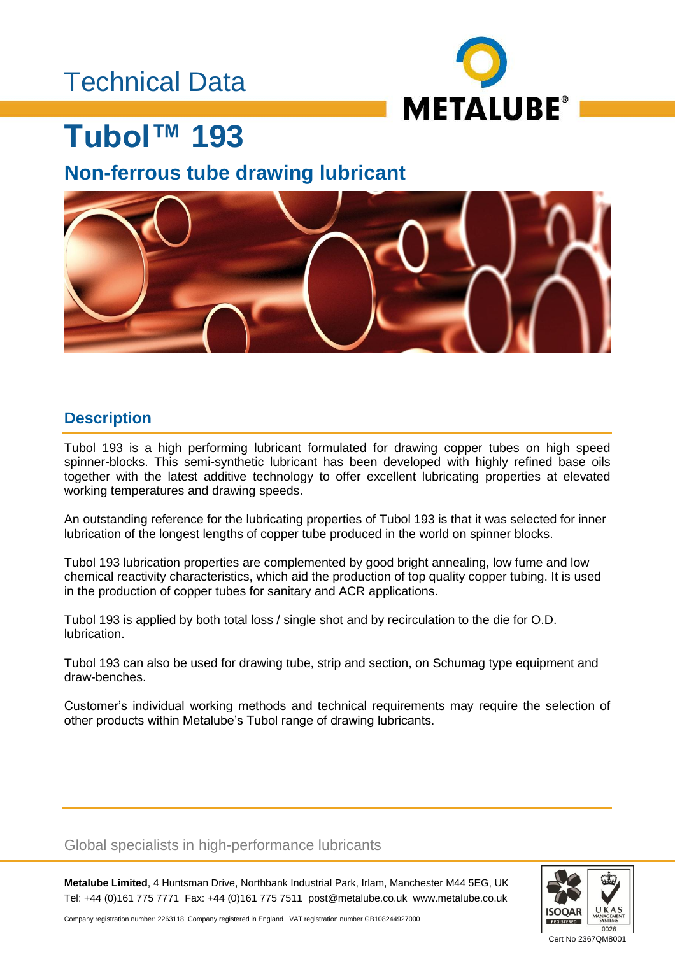## Technical Data



## **Tubol™ 193**

## **Non-ferrous tube drawing lubricant**



## **Description**

Tubol 193 is a high performing lubricant formulated for drawing copper tubes on high speed spinner-blocks. This semi-synthetic lubricant has been developed with highly refined base oils together with the latest additive technology to offer excellent lubricating properties at elevated working temperatures and drawing speeds.

An outstanding reference for the lubricating properties of Tubol 193 is that it was selected for inner lubrication of the longest lengths of copper tube produced in the world on spinner blocks.

Tubol 193 lubrication properties are complemented by good bright annealing, low fume and low chemical reactivity characteristics, which aid the production of top quality copper tubing. It is used in the production of copper tubes for sanitary and ACR applications.

Tubol 193 is applied by both total loss / single shot and by recirculation to the die for O.D. lubrication.

Tubol 193 can also be used for drawing tube, strip and section, on Schumag type equipment and draw-benches.

Customer's individual working methods and technical requirements may require the selection of other products within Metalube's Tubol range of drawing lubricants.

#### Global specialists in high-performance lubricants

**Metalube Limited**, 4 Huntsman Drive, Northbank Industrial Park, Irlam, Manchester M44 5EG, UK Tel: +44 (0)161 775 7771 Fax: +44 (0)161 775 7511 post@metalube.co.uk www.metalube.co.uk



Company registration number: 2263118; Company registered in England VAT registration number GB108244927000